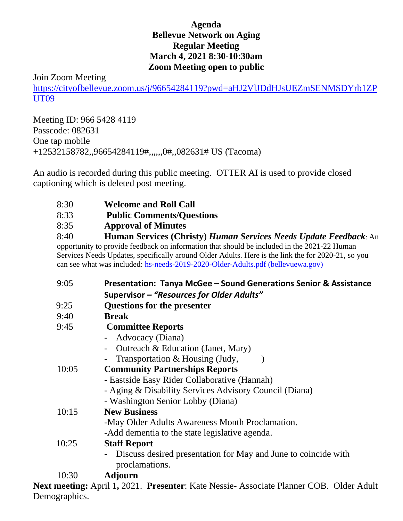## **Agenda Bellevue Network on Aging Regular Meeting March 4, 2021 8:30-10:30am Zoom Meeting open to public**

## Join Zoom Meeting

[https://cityofbellevue.zoom.us/j/96654284119?pwd=aHJ2VlJDdHJsUEZmSENMSDYrb1ZP](https://cityofbellevue.zoom.us/j/96654284119?pwd=aHJ2VlJDdHJsUEZmSENMSDYrb1ZPUT09) [UT09](https://cityofbellevue.zoom.us/j/96654284119?pwd=aHJ2VlJDdHJsUEZmSENMSDYrb1ZPUT09)

Meeting ID: 966 5428 4119 Passcode: 082631 One tap mobile +12532158782,,96654284119#,,,,,,0#,,082631# US (Tacoma)

An audio is recorded during this public meeting. OTTER AI is used to provide closed captioning which is deleted post meeting.

- 8:30 **Welcome and Roll Call**
- 8:33 **Public Comments/Questions**
- 8:35 **Approval of Minutes**

8:40 **Human Services (Christy**) *Human Services Needs Update Feedback*: An opportunity to provide feedback on information that should be included in the 2021-22 Human Services Needs Updates, specifically around Older Adults. Here is the link the for 2020-21, so you can see what was included: [hs-needs-2019-2020-Older-Adults.pdf \(bellevuewa.gov\)](https://bellevuewa.gov/sites/default/files/media/pdf_document/2020/hs-needs-2019-2020-Older-Adults.pdf)

| 9:05  | Presentation: Tanya McGee - Sound Generations Senior & Assistance                |
|-------|----------------------------------------------------------------------------------|
|       | Supervisor - "Resources for Older Adults"                                        |
| 9:25  | <b>Questions for the presenter</b>                                               |
| 9:40  | <b>Break</b>                                                                     |
| 9:45  | <b>Committee Reports</b>                                                         |
|       | Advocacy (Diana)                                                                 |
|       | Outreach & Education (Janet, Mary)                                               |
|       | Transportation & Housing (Judy,                                                  |
| 10:05 | <b>Community Partnerships Reports</b>                                            |
|       | - Eastside Easy Rider Collaborative (Hannah)                                     |
|       | - Aging & Disability Services Advisory Council (Diana)                           |
|       | - Washington Senior Lobby (Diana)                                                |
| 10:15 | <b>New Business</b>                                                              |
|       | -May Older Adults Awareness Month Proclamation.                                  |
|       | -Add dementia to the state legislative agenda.                                   |
| 10:25 | <b>Staff Report</b>                                                              |
|       | Discuss desired presentation for May and June to coincide with<br>proclamations. |
| 10:30 | <b>Adjourn</b>                                                                   |
|       |                                                                                  |

**Next meeting:** April 1**,** 2021. **Presenter**: Kate Nessie- Associate Planner COB. Older Adult Demographics.